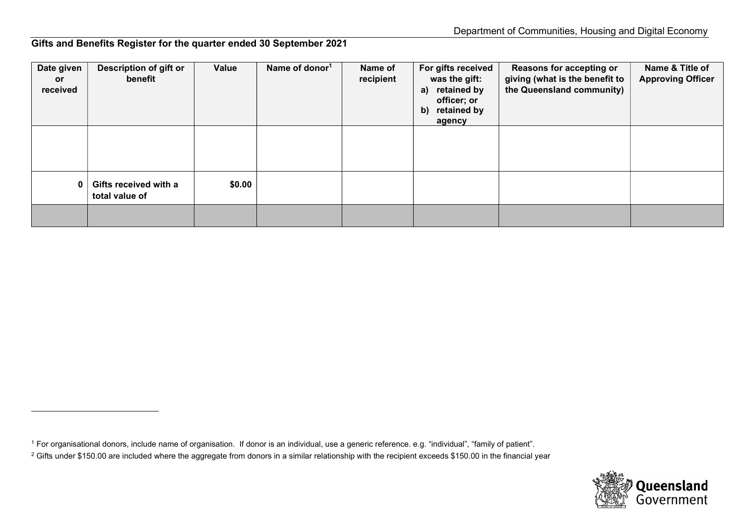Gifts and Benefits Register for the quarter ended 30 September 2021

| Date given<br><b>or</b><br>received | Description of gift or<br>benefit       | Value  | Name of donor <sup>1</sup> | Name of<br>recipient | For gifts received<br>was the gift:<br>retained by<br>a)<br>officer; or<br>retained by<br>$\mathbf{b}$<br>agency | <b>Reasons for accepting or</b><br>giving (what is the benefit to<br>the Queensland community) | Name & Title of<br><b>Approving Officer</b> |
|-------------------------------------|-----------------------------------------|--------|----------------------------|----------------------|------------------------------------------------------------------------------------------------------------------|------------------------------------------------------------------------------------------------|---------------------------------------------|
|                                     |                                         |        |                            |                      |                                                                                                                  |                                                                                                |                                             |
| N                                   | Gifts received with a<br>total value of | \$0.00 |                            |                      |                                                                                                                  |                                                                                                |                                             |
|                                     |                                         |        |                            |                      |                                                                                                                  |                                                                                                |                                             |



<sup>1</sup> For organisational donors, include name of organisation. If donor is an individual, use a generic reference. e.g. "individual", "family of patient".

 $^2$  Gifts under \$150.00 are included where the aggregate from donors in a similar relationship with the recipient exceeds \$150.00 in the financial year